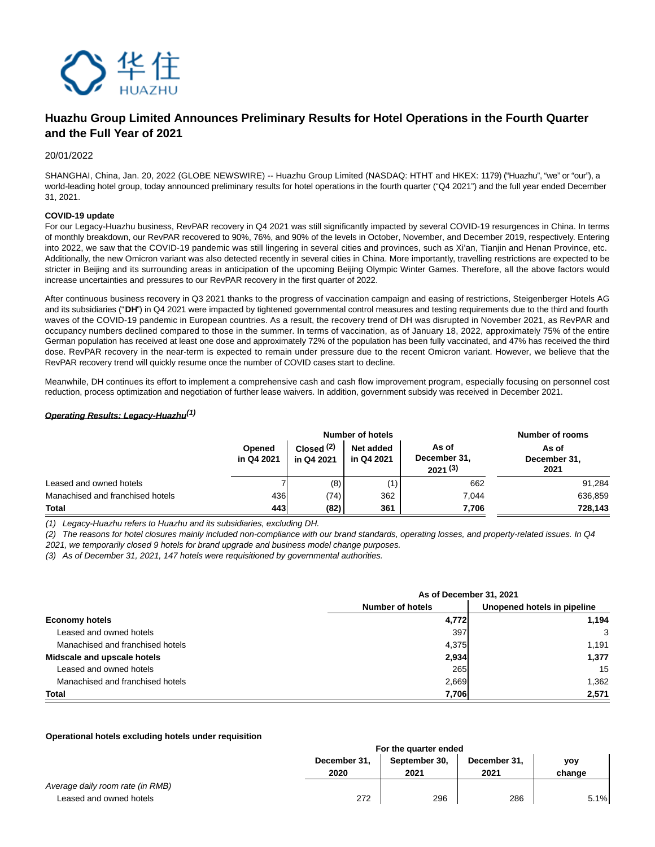

# **Huazhu Group Limited Announces Preliminary Results for Hotel Operations in the Fourth Quarter and the Full Year of 2021**

#### 20/01/2022

SHANGHAI, China, Jan. 20, 2022 (GLOBE NEWSWIRE) -- Huazhu Group Limited (NASDAQ: HTHT and HKEX: 1179) ("Huazhu", "we" or "our"), a world-leading hotel group, today announced preliminary results for hotel operations in the fourth quarter ("Q4 2021") and the full year ended December 31, 2021.

### **COVID-19 update**

For our Legacy-Huazhu business, RevPAR recovery in Q4 2021 was still significantly impacted by several COVID-19 resurgences in China. In terms of monthly breakdown, our RevPAR recovered to 90%, 76%, and 90% of the levels in October, November, and December 2019, respectively. Entering into 2022, we saw that the COVID-19 pandemic was still lingering in several cities and provinces, such as Xi'an, Tianjin and Henan Province, etc. Additionally, the new Omicron variant was also detected recently in several cities in China. More importantly, travelling restrictions are expected to be stricter in Beijing and its surrounding areas in anticipation of the upcoming Beijing Olympic Winter Games. Therefore, all the above factors would increase uncertainties and pressures to our RevPAR recovery in the first quarter of 2022.

After continuous business recovery in Q3 2021 thanks to the progress of vaccination campaign and easing of restrictions, Steigenberger Hotels AG and its subsidiaries ("**DH**") in Q4 2021 were impacted by tightened governmental control measures and testing requirements due to the third and fourth waves of the COVID-19 pandemic in European countries. As a result, the recovery trend of DH was disrupted in November 2021, as RevPAR and occupancy numbers declined compared to those in the summer. In terms of vaccination, as of January 18, 2022, approximately 75% of the entire German population has received at least one dose and approximately 72% of the population has been fully vaccinated, and 47% has received the third dose. RevPAR recovery in the near-term is expected to remain under pressure due to the recent Omicron variant. However, we believe that the RevPAR recovery trend will quickly resume once the number of COVID cases start to decline.

Meanwhile, DH continues its effort to implement a comprehensive cash and cash flow improvement program, especially focusing on personnel cost reduction, process optimization and negotiation of further lease waivers. In addition, government subsidy was received in December 2021.

## **Operating Results: Legacy-Huazhu(1)**

|                                  |                      | <b>Number of hotels</b>    |                         | <b>Number of rooms</b>                |                               |  |
|----------------------------------|----------------------|----------------------------|-------------------------|---------------------------------------|-------------------------------|--|
|                                  | Opened<br>in Q4 2021 | Closed $(2)$<br>in Q4 2021 | Net added<br>in Q4 2021 | As of<br>December 31,<br>$2021^{(3)}$ | As of<br>December 31,<br>2021 |  |
| Leased and owned hotels          |                      | (8)                        | (1)                     | 662                                   | 91,284                        |  |
| Manachised and franchised hotels | 436                  | (74)                       | 362                     | 7,044                                 | 636,859                       |  |
| <b>Total</b>                     | 443                  | (82)                       | 361                     | 7.706                                 | 728.143                       |  |

(1) Legacy-Huazhu refers to Huazhu and its subsidiaries, excluding DH.

(2) The reasons for hotel closures mainly included non-compliance with our brand standards, operating losses, and property-related issues. In Q4 2021, we temporarily closed 9 hotels for brand upgrade and business model change purposes.

(3) As of December 31, 2021, 147 hotels were requisitioned by governmental authorities.

|                                  | As of December 31, 2021 |                             |
|----------------------------------|-------------------------|-----------------------------|
|                                  | <b>Number of hotels</b> | Unopened hotels in pipeline |
| <b>Economy hotels</b>            | 4,772                   | 1.194                       |
| Leased and owned hotels          | 397                     | 3                           |
| Manachised and franchised hotels | 4,375                   | 1.191                       |
| Midscale and upscale hotels      | 2.934                   | 1,377                       |
| Leased and owned hotels          | 265                     | 15                          |
| Manachised and franchised hotels | 2,669                   | 1,362                       |
| Total                            | 7.706                   | 2,571                       |

#### **Operational hotels excluding hotels under requisition**

|                                  |                      | For the quarter ended |                      |                      |  |  |  |  |  |
|----------------------------------|----------------------|-----------------------|----------------------|----------------------|--|--|--|--|--|
|                                  | December 31.<br>2020 | September 30.<br>2021 | December 31.<br>2021 | <b>VOV</b><br>change |  |  |  |  |  |
| Average daily room rate (in RMB) |                      |                       |                      |                      |  |  |  |  |  |
| Leased and owned hotels          | 272                  | 296                   | 286                  | 5.1%                 |  |  |  |  |  |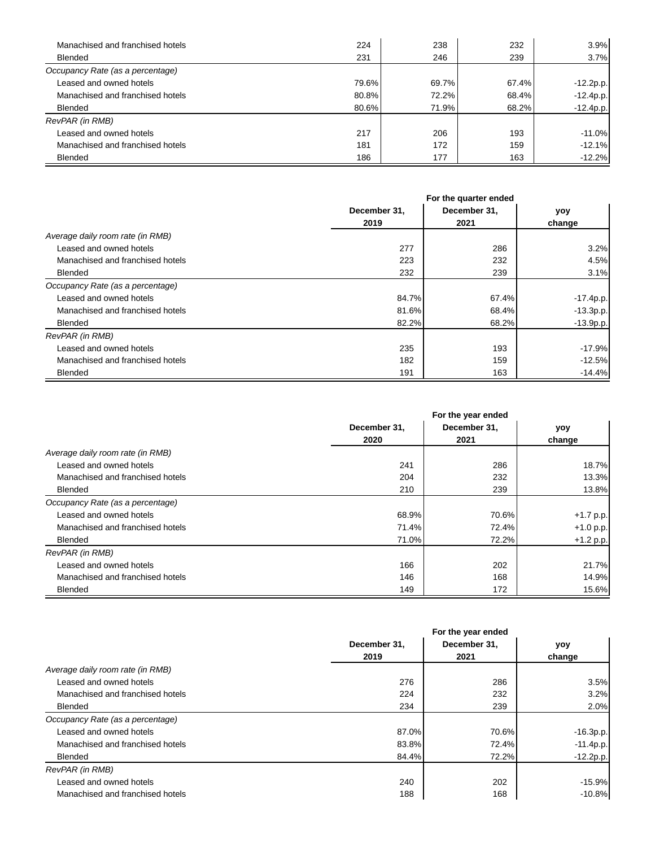| Manachised and franchised hotels | 224   | 238   | 232   | 3.9%        |
|----------------------------------|-------|-------|-------|-------------|
| Blended                          | 231   | 246   | 239   | 3.7%        |
| Occupancy Rate (as a percentage) |       |       |       |             |
| Leased and owned hotels          | 79.6% | 69.7% | 67.4% | $-12.2p.p.$ |
| Manachised and franchised hotels | 80.8% | 72.2% | 68.4% | $-12.4p.p.$ |
| Blended                          | 80.6% | 71.9% | 68.2% | $-12.4p.p.$ |
| RevPAR (in RMB)                  |       |       |       |             |
| Leased and owned hotels          | 217   | 206   | 193   | $-11.0\%$   |
| Manachised and franchised hotels | 181   | 172   | 159   | $-12.1%$    |
| Blended                          | 186   | 177   | 163   | $-12.2%$    |

|                                  |              | For the quarter ended |             |  |  |  |  |  |
|----------------------------------|--------------|-----------------------|-------------|--|--|--|--|--|
|                                  | December 31, | December 31,          | yoy         |  |  |  |  |  |
|                                  | 2019         | 2021                  | change      |  |  |  |  |  |
| Average daily room rate (in RMB) |              |                       |             |  |  |  |  |  |
| Leased and owned hotels          | 277          | 286                   | 3.2%        |  |  |  |  |  |
| Manachised and franchised hotels | 223          | 232                   | 4.5%        |  |  |  |  |  |
| <b>Blended</b>                   | 232          | 239                   | 3.1%        |  |  |  |  |  |
| Occupancy Rate (as a percentage) |              |                       |             |  |  |  |  |  |
| Leased and owned hotels          | 84.7%        | 67.4%                 | $-17.4p.p.$ |  |  |  |  |  |
| Manachised and franchised hotels | 81.6%        | 68.4%                 | $-13.3p.p.$ |  |  |  |  |  |
| Blended                          | 82.2%        | 68.2%                 | $-13.9p.p.$ |  |  |  |  |  |
| RevPAR (in RMB)                  |              |                       |             |  |  |  |  |  |
| Leased and owned hotels          | 235          | 193                   | $-17.9%$    |  |  |  |  |  |
| Manachised and franchised hotels | 182          | 159                   | $-12.5%$    |  |  |  |  |  |
| <b>Blended</b>                   | 191          | 163                   | $-14.4%$    |  |  |  |  |  |

|                                  | For the year ended |              |             |  |  |  |  |
|----------------------------------|--------------------|--------------|-------------|--|--|--|--|
|                                  | December 31,       | December 31, | yoy         |  |  |  |  |
|                                  | 2020               | 2021         | change      |  |  |  |  |
| Average daily room rate (in RMB) |                    |              |             |  |  |  |  |
| Leased and owned hotels          | 241                | 286          | 18.7%       |  |  |  |  |
| Manachised and franchised hotels | 204                | 232          | 13.3%       |  |  |  |  |
| <b>Blended</b>                   | 210                | 239          | 13.8%       |  |  |  |  |
| Occupancy Rate (as a percentage) |                    |              |             |  |  |  |  |
| Leased and owned hotels          | 68.9%              | 70.6%        | $+1.7 p.p.$ |  |  |  |  |
| Manachised and franchised hotels | 71.4%              | 72.4%        | $+1.0 p.p.$ |  |  |  |  |
| <b>Blended</b>                   | 71.0%              | 72.2%        | $+1.2 p.p.$ |  |  |  |  |
| RevPAR (in RMB)                  |                    |              |             |  |  |  |  |
| Leased and owned hotels          | 166                | 202          | 21.7%       |  |  |  |  |
| Manachised and franchised hotels | 146                | 168          | 14.9%       |  |  |  |  |
| <b>Blended</b>                   | 149                | 172          | 15.6%       |  |  |  |  |

|                                  |              | For the year ended |             |
|----------------------------------|--------------|--------------------|-------------|
|                                  | December 31, | December 31,       | yoy         |
|                                  | 2019         | 2021               | change      |
| Average daily room rate (in RMB) |              |                    |             |
| Leased and owned hotels          | 276          | 286                | 3.5%        |
| Manachised and franchised hotels | 224          | 232                | 3.2%        |
| <b>Blended</b>                   | 234          | 239                | 2.0%        |
| Occupancy Rate (as a percentage) |              |                    |             |
| Leased and owned hotels          | 87.0%        | 70.6%              | $-16.3p.p.$ |
| Manachised and franchised hotels | 83.8%        | 72.4%              | $-11.4p.p.$ |
| <b>Blended</b>                   | 84.4%        | 72.2%              | $-12.2p.p.$ |
| RevPAR (in RMB)                  |              |                    |             |
| Leased and owned hotels          | 240          | 202                | $-15.9%$    |
| Manachised and franchised hotels | 188          | 168                | $-10.8%$    |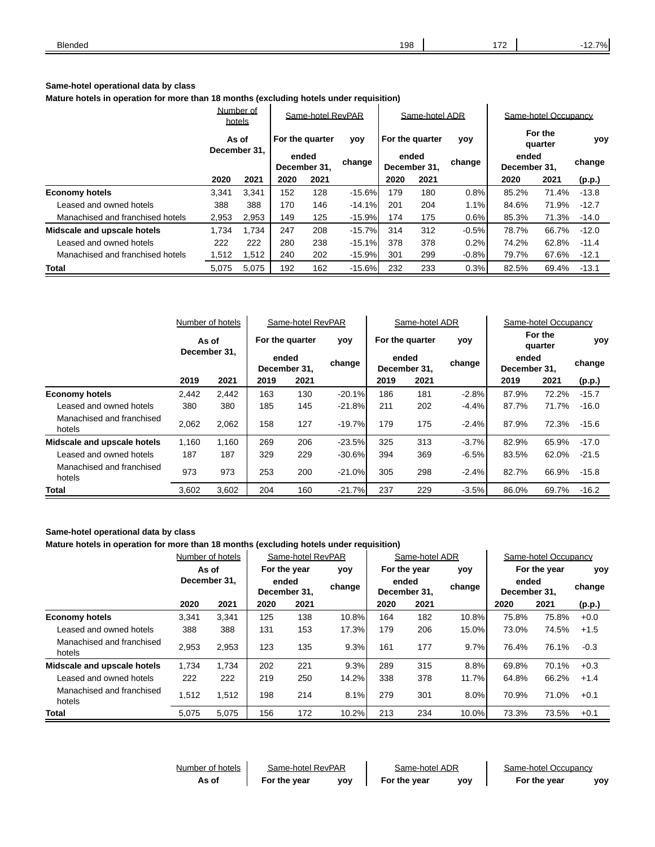$\overline{1}$ 

## **Same-hotel operational data by class**

**Mature hotels in operation for more than 18 months (excluding hotels under requisition)**

|                                  |                       | Number of<br>hotels | Same-hotel RevPAR                        |      |          | Same-hotel ADR                           |      |         | Same-hotel Occupancy  |                    |         |
|----------------------------------|-----------------------|---------------------|------------------------------------------|------|----------|------------------------------------------|------|---------|-----------------------|--------------------|---------|
|                                  | As of<br>December 31. |                     | For the quarter<br>ended<br>December 31, |      | yoy      | For the quarter<br>ended<br>December 31, |      | yoy     |                       | For the<br>quarter | yoy     |
|                                  |                       |                     |                                          |      | change   |                                          |      | change  | ended<br>December 31, |                    | change  |
|                                  | 2020                  | 2021                | 2020                                     | 2021 |          | 2020                                     | 2021 |         | 2020                  | 2021               | (p.p.)  |
| <b>Economy hotels</b>            | 3,341                 | 3,341               | 152                                      | 128  | $-15.6%$ | 179                                      | 180  | 0.8%    | 85.2%                 | 71.4%              | $-13.8$ |
| Leased and owned hotels          | 388                   | 388                 | 170                                      | 146  | $-14.1%$ | 201                                      | 204  | 1.1%    | 84.6%                 | 71.9%              | $-12.7$ |
| Manachised and franchised hotels | 2,953                 | 2,953               | 149                                      | 125  | $-15.9%$ | 174                                      | 175  | 0.6%    | 85.3%                 | 71.3%              | $-14.0$ |
| Midscale and upscale hotels      | 1,734                 | 1.734               | 247                                      | 208  | $-15.7%$ | 314                                      | 312  | $-0.5%$ | 78.7%                 | 66.7%              | $-12.0$ |
| Leased and owned hotels          | 222                   | 222                 | 280                                      | 238  | $-15.1%$ | 378                                      | 378  | 0.2%    | 74.2%                 | 62.8%              | $-11.4$ |
| Manachised and franchised hotels | 1,512                 | 512. ا              | 240                                      | 202  | $-15.9%$ | 301                                      | 299  | $-0.8%$ | 79.7%                 | 67.6%              | $-12.1$ |
| Total                            | 5.075                 | 5.075               | 192                                      | 162  | $-15.6%$ | 232                                      | 233  | 0.3%    | 82.5%                 | 69.4%              | $-13.1$ |

|                                     |                       | Number of hotels |                                          | Same-hotel RevPAR |           | Same-hotel ADR        |                 |         | Same-hotel Occupancy  |       |         |
|-------------------------------------|-----------------------|------------------|------------------------------------------|-------------------|-----------|-----------------------|-----------------|---------|-----------------------|-------|---------|
|                                     | As of<br>December 31, |                  | For the quarter<br>ended<br>December 31. |                   | yoy       |                       | For the quarter | yoy     | For the<br>quarter    |       | yoy     |
|                                     |                       |                  |                                          |                   | change    | ended<br>December 31. |                 | change  | ended<br>December 31. |       | change  |
|                                     | 2019                  | 2021             | 2019                                     | 2021              |           | 2019                  | 2021            |         | 2019                  | 2021  | (p.p.)  |
| <b>Economy hotels</b>               | 2,442                 | 2,442            | 163                                      | 130               | $-20.1%$  | 186                   | 181             | $-2.8%$ | 87.9%                 | 72.2% | $-15.7$ |
| Leased and owned hotels             | 380                   | 380              | 185                                      | 145               | $-21.8%$  | 211                   | 202             | $-4.4%$ | 87.7%                 | 71.7% | $-16.0$ |
| Manachised and franchised<br>hotels | 2,062                 | 2,062            | 158                                      | 127               | $-19.7%$  | 179                   | 175             | $-2.4%$ | 87.9%                 | 72.3% | $-15.6$ |
| Midscale and upscale hotels         | 1.160                 | 1.160            | 269                                      | 206               | $-23.5%$  | 325                   | 313             | $-3.7%$ | 82.9%                 | 65.9% | $-17.0$ |
| Leased and owned hotels             | 187                   | 187              | 329                                      | 229               | $-30.6\%$ | 394                   | 369             | $-6.5%$ | 83.5%                 | 62.0% | $-21.5$ |
| Manachised and franchised<br>hotels | 973                   | 973              | 253                                      | 200               | $-21.0%$  | 305                   | 298             | $-2.4%$ | 82.7%                 | 66.9% | $-15.8$ |
| Total                               | 3,602                 | 3,602            | 204                                      | 160               | $-21.7%$  | 237                   | 229             | $-3.5%$ | 86.0%                 | 69.7% | $-16.2$ |

## **Same-hotel operational data by class**

**Mature hotels in operation for more than 18 months (excluding hotels under requisition)**

|                                     |              | Number of hotels | Same-hotel RevPAR<br>Same-hotel ADR<br>Same-hotel Occupancy |              |        |                       |              |        |       |                       |        |
|-------------------------------------|--------------|------------------|-------------------------------------------------------------|--------------|--------|-----------------------|--------------|--------|-------|-----------------------|--------|
|                                     |              | As of            |                                                             | For the year | yoy    |                       | For the year |        |       | For the year          | yoy    |
|                                     | December 31, |                  | ended<br>December 31.                                       |              | change | ended<br>December 31. |              | change |       | ended<br>December 31. |        |
|                                     | 2020         | 2021             | 2020                                                        | 2021         |        | 2020                  | 2021         |        | 2020  | 2021                  | (p.p.) |
| <b>Economy hotels</b>               | 3,341        | 3.341            | 125                                                         | 138          | 10.8%  | 164                   | 182          | 10.8%  | 75.8% | 75.8%                 | $+0.0$ |
| Leased and owned hotels             | 388          | 388              | 131                                                         | 153          | 17.3%  | 179                   | 206          | 15.0%  | 73.0% | 74.5%                 | $+1.5$ |
| Manachised and franchised<br>hotels | 2,953        | 2.953            | 123                                                         | 135          | 9.3%   | 161                   | 177          | 9.7%   | 76.4% | 76.1%                 | $-0.3$ |
| Midscale and upscale hotels         | 1.734        | 1.734            | 202                                                         | 221          | 9.3%   | 289                   | 315          | 8.8%   | 69.8% | 70.1%                 | $+0.3$ |
| Leased and owned hotels             | 222          | 222              | 219                                                         | 250          | 14.2%  | 338                   | 378          | 11.7%  | 64.8% | 66.2%                 | $+1.4$ |
| Manachised and franchised<br>hotels | 1,512        | 1.512            | 198                                                         | 214          | 8.1%   | 279                   | 301          | 8.0%   | 70.9% | 71.0%                 | $+0.1$ |
| <b>Total</b>                        | 5,075        | 5,075            | 156                                                         | 172          | 10.2%  | 213                   | 234          | 10.0%  | 73.3% | 73.5%                 | $+0.1$ |

| Number of hotels | Same-hotel RevPAR |     | Same-hotel ADR |     | Same-hotel Occupancy |     |  |
|------------------|-------------------|-----|----------------|-----|----------------------|-----|--|
| As of            | For the year      | vov | For the vear   | vov | For the vear         | vov |  |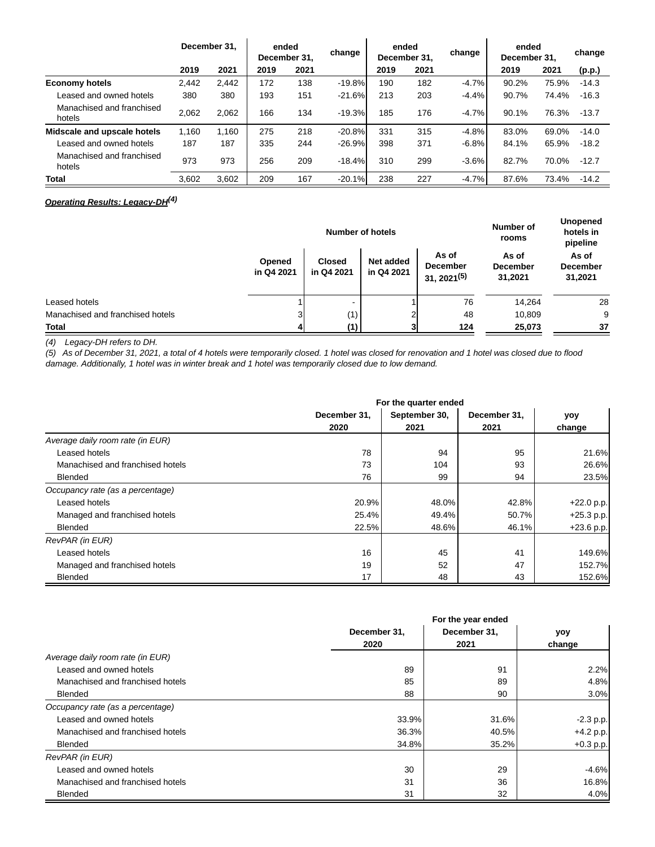|                                     | December 31. |       | ended<br>December 31. |      | change   | ended<br>December 31. |      | change   | ended<br>December 31. |       | change  |
|-------------------------------------|--------------|-------|-----------------------|------|----------|-----------------------|------|----------|-----------------------|-------|---------|
|                                     | 2019         | 2021  | 2019                  | 2021 |          | 2019                  | 2021 |          | 2019                  | 2021  | (p.p.)  |
| <b>Economy hotels</b>               | 2,442        | 2,442 | 172                   | 138  | $-19.8%$ | 190                   | 182  | $-4.7\%$ | 90.2%                 | 75.9% | $-14.3$ |
| Leased and owned hotels             | 380          | 380   | 193                   | 151  | $-21.6%$ | 213                   | 203  | $-4.4%$  | 90.7%                 | 74.4% | $-16.3$ |
| Manachised and franchised<br>hotels | 2,062        | 2.062 | 166                   | 134  | $-19.3%$ | 185                   | 176  | $-4.7%$  | 90.1%                 | 76.3% | $-13.7$ |
| Midscale and upscale hotels         | 1.160        | 1.160 | 275                   | 218  | $-20.8%$ | 331                   | 315  | $-4.8%$  | 83.0%                 | 69.0% | $-14.0$ |
| Leased and owned hotels             | 187          | 187   | 335                   | 244  | $-26.9%$ | 398                   | 371  | $-6.8%$  | 84.1%                 | 65.9% | $-18.2$ |
| Manachised and franchised<br>hotels | 973          | 973   | 256                   | 209  | $-18.4%$ | 310                   | 299  | $-3.6%$  | 82.7%                 | 70.0% | $-12.7$ |
| <b>Total</b>                        | 3,602        | 3,602 | 209                   | 167  | $-20.1%$ | 238                   | 227  | $-4.7%$  | 87.6%                 | 73.4% | $-14.2$ |

## **Operating Results: Legacy-DH(4)**

|                                  |                      | <b>Number of hotels</b>     |                         |                                              | Number of<br>rooms                  | Unopened<br>hotels in<br>pipeline   |  |
|----------------------------------|----------------------|-----------------------------|-------------------------|----------------------------------------------|-------------------------------------|-------------------------------------|--|
|                                  | Opened<br>in Q4 2021 | <b>Closed</b><br>in Q4 2021 | Net added<br>in Q4 2021 | As of<br><b>December</b><br>$31, 2021^{(5)}$ | As of<br><b>December</b><br>31,2021 | As of<br><b>December</b><br>31,2021 |  |
| Leased hotels                    |                      | -                           |                         | 76                                           | 14.264                              | 28                                  |  |
| Manachised and franchised hotels | 3                    | (1)                         | ◠                       | 48                                           | 10,809                              | 9                                   |  |
| <b>Total</b>                     | $\boldsymbol{4}$     | (1)                         | 3                       | 124                                          | 25,073                              | 37                                  |  |

(4) Legacy-DH refers to DH.

(5) As of December 31, 2021, a total of 4 hotels were temporarily closed. 1 hotel was closed for renovation and 1 hotel was closed due to flood damage. Additionally, 1 hotel was in winter break and 1 hotel was temporarily closed due to low demand.

|                                  | For the quarter ended |                       |                      |               |
|----------------------------------|-----------------------|-----------------------|----------------------|---------------|
|                                  | December 31.<br>2020  | September 30,<br>2021 | December 31.<br>2021 | yoy<br>change |
| Average daily room rate (in EUR) |                       |                       |                      |               |
| Leased hotels                    | 78                    | 94                    | 95                   | 21.6%         |
| Manachised and franchised hotels | 73                    | 104                   | 93                   | 26.6%         |
| <b>Blended</b>                   | 76                    | 99                    | 94                   | 23.5%         |
| Occupancy rate (as a percentage) |                       |                       |                      |               |
| Leased hotels                    | 20.9%                 | 48.0%                 | 42.8%                | $+22.0$ p.p.  |
| Managed and franchised hotels    | 25.4%                 | 49.4%                 | 50.7%                | $+25.3$ p.p.  |
| Blended                          | 22.5%                 | 48.6%                 | 46.1%                | $+23.6$ p.p.  |
| RevPAR (in EUR)                  |                       |                       |                      |               |
| Leased hotels                    | 16                    | 45                    | 41                   | 149.6%        |
| Managed and franchised hotels    | 19                    | 52                    | 47                   | 152.7%        |
| <b>Blended</b>                   | 17                    | 48                    | 43                   | 152.6%        |

|                                  | For the year ended |              |             |  |
|----------------------------------|--------------------|--------------|-------------|--|
|                                  | December 31,       | December 31, | yoy         |  |
|                                  | 2020               | 2021         | change      |  |
| Average daily room rate (in EUR) |                    |              |             |  |
| Leased and owned hotels          | 89                 | 91           | 2.2%        |  |
| Manachised and franchised hotels | 85                 | 89           | 4.8%        |  |
| <b>Blended</b>                   | 88                 | 90           | 3.0%        |  |
| Occupancy rate (as a percentage) |                    |              |             |  |
| Leased and owned hotels          | 33.9%              | 31.6%        | $-2.3 p.p.$ |  |
| Manachised and franchised hotels | 36.3%              | 40.5%        | $+4.2 p.p.$ |  |
| Blended                          | 34.8%              | 35.2%        | $+0.3$ p.p. |  |
| RevPAR (in EUR)                  |                    |              |             |  |
| Leased and owned hotels          | 30                 | 29           | $-4.6%$     |  |
| Manachised and franchised hotels | 31                 | 36           | 16.8%       |  |
| <b>Blended</b>                   | 31                 | 32           | 4.0%        |  |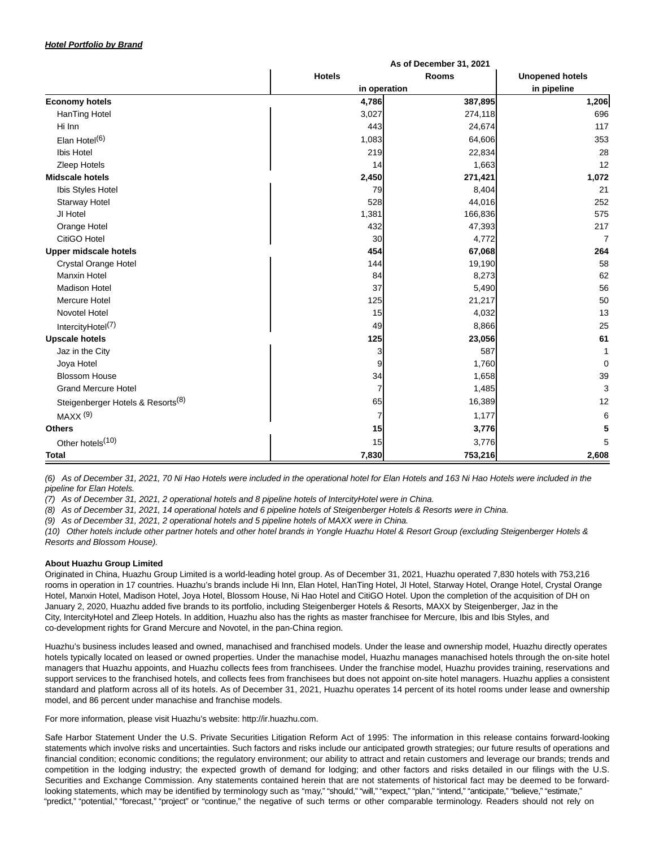### **Hotel Portfolio by Brand**

|                                               | As of December 31, 2021 |              |                        |  |
|-----------------------------------------------|-------------------------|--------------|------------------------|--|
|                                               | <b>Hotels</b>           | <b>Rooms</b> | <b>Unopened hotels</b> |  |
|                                               |                         | in operation | in pipeline            |  |
| <b>Economy hotels</b>                         | 4,786                   | 387,895      | 1,206                  |  |
| HanTing Hotel                                 | 3,027                   | 274,118      | 696                    |  |
| Hi Inn                                        | 443                     | 24,674       | 117                    |  |
| Elan Hotel <sup>(6)</sup>                     | 1,083                   | 64,606       | 353                    |  |
| Ibis Hotel                                    | 219                     | 22,834       | 28                     |  |
| Zleep Hotels                                  | 14                      | 1,663        | 12                     |  |
| <b>Midscale hotels</b>                        | 2,450                   | 271,421      | 1,072                  |  |
| Ibis Styles Hotel                             | 79                      | 8,404        | 21                     |  |
| <b>Starway Hotel</b>                          | 528                     | 44,016       | 252                    |  |
| JI Hotel                                      | 1,381                   | 166,836      | 575                    |  |
| Orange Hotel                                  | 432                     | 47,393       | 217                    |  |
| CitiGO Hotel                                  | 30                      | 4,772        | $\overline{7}$         |  |
| <b>Upper midscale hotels</b>                  | 454                     | 67,068       | 264                    |  |
| Crystal Orange Hotel                          | 144                     | 19,190       | 58                     |  |
| Manxin Hotel                                  | 84                      | 8,273        | 62                     |  |
| <b>Madison Hotel</b>                          | 37                      | 5,490        | 56                     |  |
| <b>Mercure Hotel</b>                          | 125                     | 21,217       | 50                     |  |
| Novotel Hotel                                 | 15                      | 4,032        | 13                     |  |
| IntercityHotel <sup>(7)</sup>                 | 49                      | 8,866        | 25                     |  |
| <b>Upscale hotels</b>                         | 125                     | 23,056       | 61                     |  |
| Jaz in the City                               | 3                       | 587          | 1                      |  |
| Joya Hotel                                    | 9                       | 1,760        | $\mathbf 0$            |  |
| <b>Blossom House</b>                          | 34                      | 1,658        | 39                     |  |
| <b>Grand Mercure Hotel</b>                    | $\overline{7}$          | 1,485        | 3                      |  |
| Steigenberger Hotels & Resorts <sup>(8)</sup> | 65                      | 16,389       | 12                     |  |
| MAXX <sup>(9)</sup>                           | $\overline{7}$          | 1,177        | 6                      |  |
| <b>Others</b>                                 | 15                      | 3,776        | 5                      |  |
| Other hotels <sup>(10)</sup>                  | 15                      | 3,776        | 5                      |  |
| <b>Total</b>                                  | 7,830                   | 753,216      | 2,608                  |  |

(6) As of December 31, 2021, 70 Ni Hao Hotels were included in the operational hotel for Elan Hotels and 163 Ni Hao Hotels were included in the pipeline for Elan Hotels.

(7) As of December 31, 2021, 2 operational hotels and 8 pipeline hotels of IntercityHotel were in China.

(8) As of December 31, 2021, 14 operational hotels and 6 pipeline hotels of Steigenberger Hotels & Resorts were in China.

(9) As of December 31, 2021, 2 operational hotels and 5 pipeline hotels of MAXX were in China.

(10) Other hotels include other partner hotels and other hotel brands in Yongle Huazhu Hotel & Resort Group (excluding Steigenberger Hotels & Resorts and Blossom House).

## **About Huazhu Group Limited**

Originated in China, Huazhu Group Limited is a world-leading hotel group. As of December 31, 2021, Huazhu operated 7,830 hotels with 753,216 rooms in operation in 17 countries. Huazhu's brands include Hi Inn, Elan Hotel, HanTing Hotel, JI Hotel, Starway Hotel, Orange Hotel, Crystal Orange Hotel, Manxin Hotel, Madison Hotel, Joya Hotel, Blossom House, Ni Hao Hotel and CitiGO Hotel. Upon the completion of the acquisition of DH on January 2, 2020, Huazhu added five brands to its portfolio, including Steigenberger Hotels & Resorts, MAXX by Steigenberger, Jaz in the City, IntercityHotel and Zleep Hotels. In addition, Huazhu also has the rights as master franchisee for Mercure, Ibis and Ibis Styles, and co-development rights for Grand Mercure and Novotel, in the pan-China region.

Huazhu's business includes leased and owned, manachised and franchised models. Under the lease and ownership model, Huazhu directly operates hotels typically located on leased or owned properties. Under the manachise model, Huazhu manages manachised hotels through the on-site hotel managers that Huazhu appoints, and Huazhu collects fees from franchisees. Under the franchise model, Huazhu provides training, reservations and support services to the franchised hotels, and collects fees from franchisees but does not appoint on-site hotel managers. Huazhu applies a consistent standard and platform across all of its hotels. As of December 31, 2021, Huazhu operates 14 percent of its hotel rooms under lease and ownership model, and 86 percent under manachise and franchise models.

For more information, please visit Huazhu's website: http://ir.huazhu.com.

Safe Harbor Statement Under the U.S. Private Securities Litigation Reform Act of 1995: The information in this release contains forward-looking statements which involve risks and uncertainties. Such factors and risks include our anticipated growth strategies; our future results of operations and financial condition; economic conditions; the regulatory environment; our ability to attract and retain customers and leverage our brands; trends and competition in the lodging industry; the expected growth of demand for lodging; and other factors and risks detailed in our filings with the U.S. Securities and Exchange Commission. Any statements contained herein that are not statements of historical fact may be deemed to be forwardlooking statements, which may be identified by terminology such as "may," "should," "will," "expect," "plan," "intend," "anticipate," "believe," "estimate," "predict," "potential," "forecast," "project" or "continue," the negative of such terms or other comparable terminology. Readers should not rely on